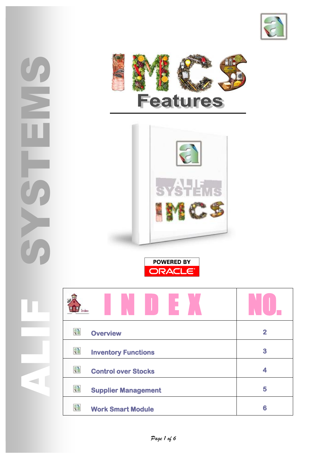





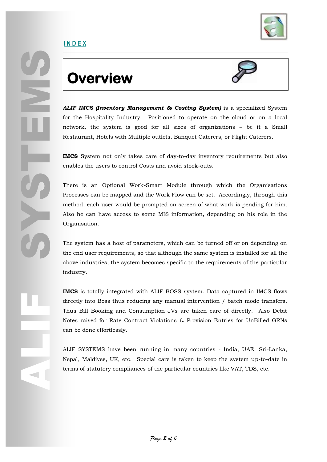

### **Overview**



*ALIF IMCS (Inventory Management & Costing System)* is a specialized System for the Hospitality Industry. Positioned to operate on the cloud or on a local network, the system is good for all sizes of organizations – be it a Small Restaurant, Hotels with Multiple outlets, Banquet Caterers, or Flight Caterers.

**IMCS** System not only takes care of day-to-day inventory requirements but also enables the users to control Costs and avoid stock-outs.

There is an Optional Work-Smart Module through which the Organisations Processes can be mapped and the Work Flow can be set. Accordingly, through this method, each user would be prompted on screen of what work is pending for him. Also he can have access to some MIS information, depending on his role in the Organisation.

The system has a host of parameters, which can be turned off or on depending on the end user requirements, so that although the same system is installed for all the above industries, the system becomes specific to the requirements of the particular industry.

**IMCS** is totally integrated with ALIF BOSS system. Data captured in IMCS flows directly into Boss thus reducing any manual intervention / batch mode transfers. Thus Bill Booking and Consumption JVs are taken care of directly. Also Debit Notes raised for Rate Contract Violations & Provision Entries for UnBilled GRNs can be done effortlessly.

ALIF SYSTEMS have been running in many countries - India, UAE, Sri-Lanka, Nepal, Maldives, UK, etc. Special care is taken to keep the system up-to-date in terms of statutory compliances of the particular countries like VAT, TDS, etc.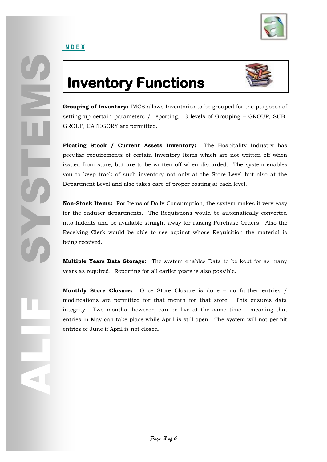

## **Inventory Functions**



**Grouping of Inventory:** IMCS allows Inventories to be grouped for the purposes of setting up certain parameters / reporting. 3 levels of Grouping – GROUP, SUB-GROUP, CATEGORY are permitted.

**Floating Stock / Current Assets Inventory:** The Hospitality Industry has peculiar requirements of certain Inventory Items which are not written off when issued from store, but are to be written off when discarded. The system enables you to keep track of such inventory not only at the Store Level but also at the Department Level and also takes care of proper costing at each level.

**Non-Stock Items:** For Items of Daily Consumption, the system makes it very easy for the enduser departments. The Requistions would be automatically converted into Indents and be available straight away for raising Purchase Orders. Also the Receiving Clerk would be able to see against whose Requisition the material is being received.

**Multiple Years Data Storage:** The system enables Data to be kept for as many years as required. Reporting for all earlier years is also possible.

**Monthly Store Closure:** Once Store Closure is done – no further entries / modifications are permitted for that month for that store. This ensures data integrity. Two months, however, can be live at the same time – meaning that entries in May can take place while April is still open. The system will not permit entries of June if April is not closed.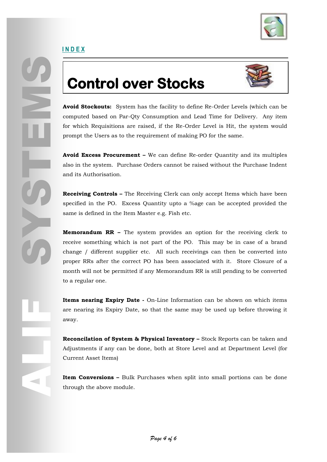

## **Control over Stocks**



Avoid Stockouts:<br>
Avoid Stockouts:<br>
computed based on<br>
for which Requisition<br>
prompt the Users as<br>
Avoid Excess Proce<br>
also in the system.<br>
and its Authorisation<br>
Receiving Controls<br>
specified in the PO.<br>
same is defined i **Avoid Stockouts:** System has the facility to define Re-Order Levels (which can be computed based on Par-Qty Consumption and Lead Time for Delivery. Any item for which Requisitions are raised, if the Re-Order Level is Hit, the system would prompt the Users as to the requirement of making PO for the same.

**Avoid Excess Procurement –** We can define Re-order Quantity and its multiples also in the system. Purchase Orders cannot be raised without the Purchase Indent and its Authorisation.

**Receiving Controls –** The Receiving Clerk can only accept Items which have been specified in the PO. Excess Quantity upto a %age can be accepted provided the same is defined in the Item Master e.g. Fish etc.

**Memorandum RR –** The system provides an option for the receiving clerk to receive something which is not part of the PO. This may be in case of a brand change / different supplier etc. All such receivings can then be converted into proper RRs after the correct PO has been associated with it. Store Closure of a month will not be permitted if any Memorandum RR is still pending to be converted to a regular one.

**Items nearing Expiry Date -** On-Line Information can be shown on which items are nearing its Expiry Date, so that the same may be used up before throwing it away.

Frem:<br>
are n<br>
away<br>
Reco<br>
Adjus<br>
Curre<br>
Litem<br>
throu **Reconcilation of System & Physical Inventory –** Stock Reports can be taken and Adjustments if any can be done, both at Store Level and at Department Level (for Current Asset Items)

**Item Conversions –** Bulk Purchases when split into small portions can be done through the above module.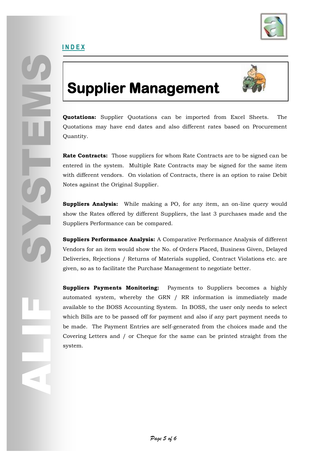

### **Supplier Management**



**Quotations:** Supplier Quotations can be imported from Excel Sheets. The Quotations may have end dates and also different rates based on Procurement Quantity.

**Rate Contracts:** Those suppliers for whom Rate Contracts are to be signed can be entered in the system. Multiple Rate Contracts may be signed for the same item with different vendors. On violation of Contracts, there is an option to raise Debit Notes against the Original Supplier.

**Suppliers Analysis:** While making a PO, for any item, an on-line query would show the Rates offered by different Suppliers, the last 3 purchases made and the Suppliers Performance can be compared.

**Suppliers Performance Analysis:** A Comparative Performance Analysis of different Vendors for an item would show the No. of Orders Placed, Business Given, Delayed Deliveries, Rejections / Returns of Materials supplied, Contract Violations etc. are given, so as to facilitate the Purchase Management to negotiate better.

**Suppliers Payments Monitoring:** Payments to Suppliers becomes a highly automated system, whereby the GRN / RR information is immediately made available to the BOSS Accounting System. In BOSS, the user only needs to select which Bills are to be passed off for payment and also if any part payment needs to be made. The Payment Entries are self-generated from the choices made and the Covering Letters and / or Cheque for the same can be printed straight from the system.